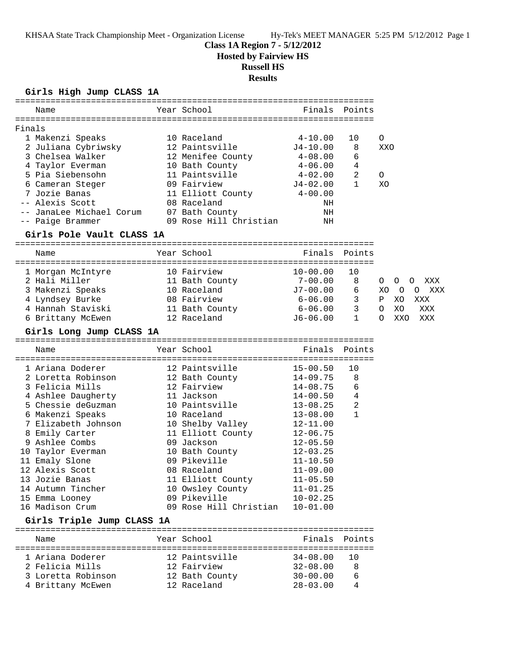## **Class 1A Region 7 - 5/12/2012**

**Hosted by Fairview HS**

# **Russell HS**

**Results**

### **Girls High Jump CLASS 1A**

|        | Name                       |  | Year School            | Finals             | Points       |                           |  |  |  |  |  |  |
|--------|----------------------------|--|------------------------|--------------------|--------------|---------------------------|--|--|--|--|--|--|
|        |                            |  |                        |                    |              |                           |  |  |  |  |  |  |
| Finals |                            |  |                        |                    |              |                           |  |  |  |  |  |  |
|        | 1 Makenzi Speaks           |  | 10 Raceland            | $4 - 10.00$        | 10           | 0                         |  |  |  |  |  |  |
|        | 2 Juliana Cybriwsky        |  | 12 Paintsville         | $J4 - 10.00$       | 8            | XXO                       |  |  |  |  |  |  |
|        | 3 Chelsea Walker           |  | 12 Menifee County      | $4\hbox{--}08$ .00 | 6            |                           |  |  |  |  |  |  |
|        | 4 Taylor Everman           |  | 10 Bath County         | 4-06.00            | 4            |                           |  |  |  |  |  |  |
|        | 5 Pia Siebensohn           |  | 11 Paintsville         | 4-02.00            | 2            | 0                         |  |  |  |  |  |  |
|        | 6 Cameran Steger           |  | 09 Fairview            | J4-02.00           | $\mathbf{1}$ | XO                        |  |  |  |  |  |  |
|        | 7 Jozie Banas              |  | 11 Elliott County      | $4 - 00.00$        |              |                           |  |  |  |  |  |  |
|        | -- Alexis Scott            |  | 08 Raceland            | ΝH                 |              |                           |  |  |  |  |  |  |
|        | -- JanaLee Michael Corum   |  | 07 Bath County         | ΝH                 |              |                           |  |  |  |  |  |  |
|        | -- Paige Brammer           |  | 09 Rose Hill Christian | ΝH                 |              |                           |  |  |  |  |  |  |
|        | Girls Pole Vault CLASS 1A  |  |                        |                    |              |                           |  |  |  |  |  |  |
|        |                            |  |                        |                    |              |                           |  |  |  |  |  |  |
|        | Name                       |  | Year School            | Finals             | Points       |                           |  |  |  |  |  |  |
|        | 1 Morgan McIntyre          |  | 10 Fairview            | $10 - 00.00$       | 10           |                           |  |  |  |  |  |  |
|        | 2 Hali Miller              |  | 11 Bath County         | $7-00.00$          | 8            | O<br>0<br>XXX<br>O        |  |  |  |  |  |  |
|        | 3 Makenzi Speaks           |  | 10 Raceland            | $J7 - 00.00$       | 6            | 0<br>XXX<br>XO<br>$\circ$ |  |  |  |  |  |  |
|        | 4 Lyndsey Burke            |  | 08 Fairview            | 6-06.00            | 3            | XXX<br>Ρ<br>XO            |  |  |  |  |  |  |
|        | 4 Hannah Staviski          |  | 11 Bath County         | 6-06.00            | 3            | XXX<br>O<br>XO            |  |  |  |  |  |  |
|        | 6 Brittany McEwen          |  | 12 Raceland            | $J6-06.00$         | 1            | XXO<br>XXX<br>O           |  |  |  |  |  |  |
|        |                            |  |                        |                    |              |                           |  |  |  |  |  |  |
|        | Girls Long Jump CLASS 1A   |  |                        |                    |              |                           |  |  |  |  |  |  |
|        | Name                       |  | Year School            | Finals             | Points       |                           |  |  |  |  |  |  |
|        |                            |  |                        |                    |              |                           |  |  |  |  |  |  |
|        | 1 Ariana Doderer           |  | 12 Paintsville         | $15 - 00.50$       | 10           |                           |  |  |  |  |  |  |
|        | 2 Loretta Robinson         |  | 12 Bath County         | $14 - 09.75$       | 8            |                           |  |  |  |  |  |  |
|        | 3 Felicia Mills            |  | 12 Fairview            | $14 - 08.75$       | 6            |                           |  |  |  |  |  |  |
|        | 4 Ashlee Daugherty         |  | 11 Jackson             | $14 - 00.50$       | 4            |                           |  |  |  |  |  |  |
|        | 5 Chessie deGuzman         |  | 10 Paintsville         | $13 - 08.25$       | 2            |                           |  |  |  |  |  |  |
|        | 6 Makenzi Speaks           |  | 10 Raceland            | $13 - 08.00$       | 1            |                           |  |  |  |  |  |  |
|        | 7 Elizabeth Johnson        |  | 10 Shelby Valley       | $12 - 11.00$       |              |                           |  |  |  |  |  |  |
|        | 8 Emily Carter             |  | 11 Elliott County      | $12 - 06.75$       |              |                           |  |  |  |  |  |  |
|        | 9 Ashlee Combs             |  | 09 Jackson             | $12 - 05.50$       |              |                           |  |  |  |  |  |  |
|        | 10 Taylor Everman          |  | 10 Bath County         | $12 - 03.25$       |              |                           |  |  |  |  |  |  |
|        | 11 Emaly Slone             |  | 09 Pikeville           | $11 - 10.50$       |              |                           |  |  |  |  |  |  |
|        | 12 Alexis Scott            |  | 08 Raceland            | $11 - 09.00$       |              |                           |  |  |  |  |  |  |
|        | 13 Jozie Banas             |  | 11 Elliott County      | $11 - 05.50$       |              |                           |  |  |  |  |  |  |
|        | 14 Autumn Tincher          |  | 10 Owsley County       | $11 - 01.25$       |              |                           |  |  |  |  |  |  |
|        | 15 Emma Looney             |  | 09 Pikeville           | $10 - 02.25$       |              |                           |  |  |  |  |  |  |
|        | 16 Madison Crum            |  | 09 Rose Hill Christian | $10 - 01.00$       |              |                           |  |  |  |  |  |  |
|        | Girls Triple Jump CLASS 1A |  |                        |                    |              |                           |  |  |  |  |  |  |
|        |                            |  |                        |                    |              |                           |  |  |  |  |  |  |
|        | Name                       |  | Year School            | Finals             | Points       |                           |  |  |  |  |  |  |
|        | 1 Ariana Doderer           |  | 12 Paintsville         | $34 - 08.00$       | 10           |                           |  |  |  |  |  |  |
|        | 2 Felicia Mills            |  | 12 Fairview            | $32 - 08.00$       | 8            |                           |  |  |  |  |  |  |
|        | 3 Loretta Robinson         |  | 12 Bath County         | $30 - 00.00$       | 6            |                           |  |  |  |  |  |  |
|        | 4 Brittany McEwen          |  | 12 Raceland            | $28 - 03.00$       | 4            |                           |  |  |  |  |  |  |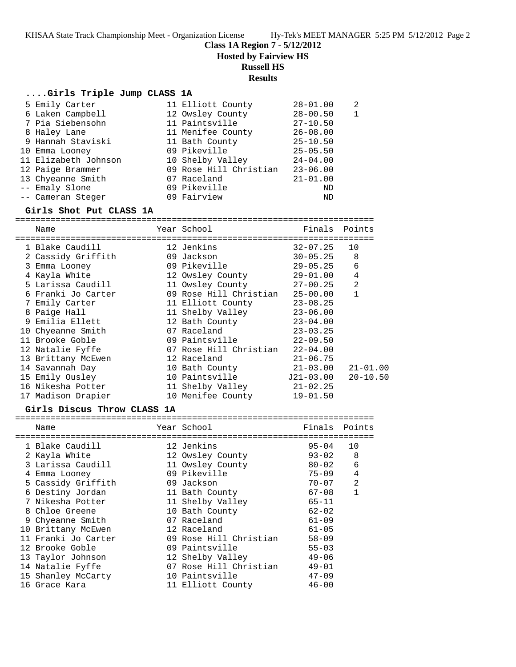**Class 1A Region 7 - 5/12/2012**

**Hosted by Fairview HS**

## **Russell HS**

## **Results**

### **....Girls Triple Jump CLASS 1A**

| 5 Emily Carter       | 11 Elliott County      | $28 - 01.00$ | $\mathfrak{D}$ |
|----------------------|------------------------|--------------|----------------|
| 6 Laken Campbell     | 12 Owsley County       | $28 - 00.50$ |                |
| 7 Pia Siebensohn     | 11 Paintsville         | $27 - 10.50$ |                |
| 8 Haley Lane         | 11 Menifee County      | $26 - 08.00$ |                |
| 9 Hannah Staviski    | 11 Bath County         | $25 - 10.50$ |                |
| 10 Emma Looney       | 09 Pikeville           | $25 - 05.50$ |                |
| 11 Elizabeth Johnson | 10 Shelby Valley       | $24 - 04.00$ |                |
| 12 Paige Brammer     | 09 Rose Hill Christian | $23 - 06.00$ |                |
| 13 Chyeanne Smith    | 07 Raceland            | $21 - 01.00$ |                |
| -- Emaly Slone       | 09 Pikeville           | ND           |                |
| -- Cameran Steger    | 09 Fairview            | ND           |                |

#### **Girls Shot Put CLASS 1A**

| Name               | Year School            | Finals       | Points         |
|--------------------|------------------------|--------------|----------------|
|                    |                        |              |                |
| 1 Blake Caudill    | 12 Jenkins             | $32 - 07.25$ | 10             |
| 2 Cassidy Griffith | 09 Jackson             | $30 - 05.25$ | 8              |
| 3 Emma Looney      | 09 Pikeville           | $29 - 05.25$ | 6              |
| 4 Kayla White      | 12 Owsley County       | 29-01.00     | 4              |
| 5 Larissa Caudill  | 11 Owsley County       | $27 - 00.25$ | $\overline{2}$ |
| 6 Franki Jo Carter | 09 Rose Hill Christian | $25 - 00.00$ | 1              |
| 7 Emily Carter     | 11 Elliott County      | $23 - 08.25$ |                |
| 8 Paige Hall       | 11 Shelby Valley       | $23 - 06.00$ |                |
| 9 Emilia Ellett    | 12 Bath County         | $23 - 04.00$ |                |
| 10 Chyeanne Smith  | 07 Raceland            | $23 - 03.25$ |                |
| 11 Brooke Goble    | 09 Paintsville         | $22 - 09.50$ |                |
| 12 Natalie Fyffe   | 07 Rose Hill Christian | $22 - 04.00$ |                |
| 13 Brittany McEwen | 12 Raceland            | $21 - 06.75$ |                |
| 14 Savannah Day    | 10 Bath County         | $21 - 03.00$ | $21 - 01.00$   |
| 15 Emily Ousley    | 10 Paintsville         | J21-03.00    | $20 - 10.50$   |
| 16 Nikesha Potter  | 11 Shelby Valley       | $21 - 02.25$ |                |
| 17 Madison Drapier | 10 Menifee County      | $19 - 01.50$ |                |

#### **Girls Discus Throw CLASS 1A**

|   | Name                |  | Year School            | Finals    | Points         |  |  |  |  |
|---|---------------------|--|------------------------|-----------|----------------|--|--|--|--|
|   |                     |  |                        |           |                |  |  |  |  |
|   | 1 Blake Caudill     |  | 12 Jenkins             | $95 - 04$ | 10             |  |  |  |  |
|   | 2 Kayla White       |  | 12 Owsley County       | $93 - 02$ | 8              |  |  |  |  |
|   | 3 Larissa Caudill   |  | 11 Owsley County       | $80 - 02$ | 6              |  |  |  |  |
| 4 | Emma Looney         |  | 09 Pikeville           | $75 - 09$ | 4              |  |  |  |  |
|   | 5 Cassidy Griffith  |  | 09 Jackson             | $70 - 07$ | $\overline{2}$ |  |  |  |  |
|   | 6 Destiny Jordan    |  | 11 Bath County         | $67 - 08$ | 1              |  |  |  |  |
|   | 7 Nikesha Potter    |  | 11 Shelby Valley       | $65 - 11$ |                |  |  |  |  |
|   | 8 Chloe Greene      |  | 10 Bath County         | $62 - 02$ |                |  |  |  |  |
|   | 9 Chyeanne Smith    |  | 07 Raceland            | $61 - 09$ |                |  |  |  |  |
|   | 10 Brittany McEwen  |  | 12 Raceland            | $61 - 05$ |                |  |  |  |  |
|   | 11 Franki Jo Carter |  | 09 Rose Hill Christian | $58 - 09$ |                |  |  |  |  |
|   | 12 Brooke Goble     |  | 09 Paintsville         | $55 - 03$ |                |  |  |  |  |
|   | 13 Taylor Johnson   |  | 12 Shelby Valley       | $49 - 06$ |                |  |  |  |  |
|   | 14 Natalie Fyffe    |  | 07 Rose Hill Christian | $49 - 01$ |                |  |  |  |  |
|   | 15 Shanley McCarty  |  | 10 Paintsville         | $47 - 09$ |                |  |  |  |  |
|   | 16 Grace Kara       |  | 11 Elliott County      | $46 - 00$ |                |  |  |  |  |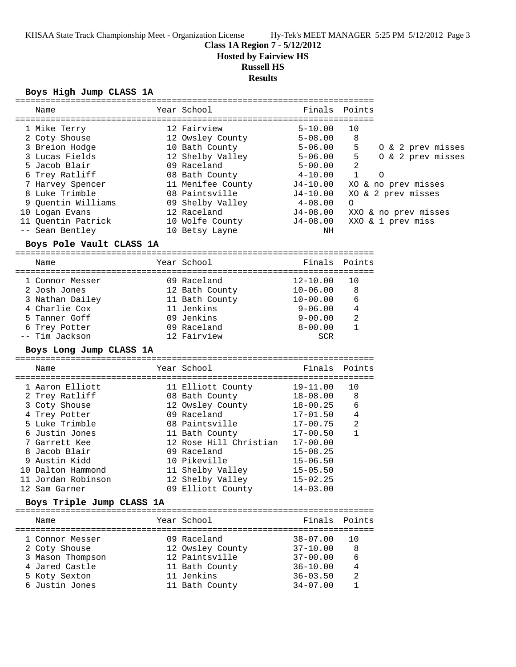**Class 1A Region 7 - 5/12/2012**

**Hosted by Fairview HS**

## **Russell HS**

#### **Results**

### **Boys High Jump CLASS 1A**

| Name                               |  | Year School<br>=================== | ========================= | Finals Points  |                              |  |  |  |
|------------------------------------|--|------------------------------------|---------------------------|----------------|------------------------------|--|--|--|
| 1 Mike Terry                       |  | 12 Fairview                        | $5 - 10.00$               | 10             |                              |  |  |  |
| 2 Coty Shouse                      |  | 12 Owsley County                   | $5 - 08.00$               | 8              |                              |  |  |  |
| 3 Breion Hodge                     |  | 10 Bath County                     | $5 - 06.00$               | 5              | 0 & 2 prev misses            |  |  |  |
| 3 Lucas Fields                     |  | 12 Shelby Valley                   | $5 - 06.00$               | 5              | 0 & 2 prev misses            |  |  |  |
| 5 Jacob Blair                      |  | 09 Raceland                        | $5 - 00.00$               | $\overline{2}$ |                              |  |  |  |
| 6 Trey Ratliff                     |  | 08 Bath County 4-10.00             |                           | $\mathbf{1}$   | $\Omega$                     |  |  |  |
| 7 Harvey Spencer                   |  | 11 Menifee County                  |                           |                | J4-10.00 XO & no prev misses |  |  |  |
| 8 Luke Trimble                     |  | 08 Paintsville                     | J4-10.00                  |                | XO & 2 prev misses           |  |  |  |
| 9 Ouentin Williams                 |  | 09 Shelby Valley 1-08.00           |                           | $\Omega$       |                              |  |  |  |
| 10 Logan Evans                     |  | 12 Raceland                        | J4-08.00                  |                | XXO & no prev misses         |  |  |  |
| 11 Quentin Patrick 10 Wolfe County |  |                                    | J4-08.00                  |                | XXO & 1 prev miss            |  |  |  |
| -- Sean Bentley                    |  | 10 Betsy Layne                     | NH                        |                |                              |  |  |  |
| Boys Pole Vault CLASS 1A           |  |                                    |                           |                |                              |  |  |  |
| Name                               |  | Year School                        | Finals                    | Points         |                              |  |  |  |
| 1 Connor Messer                    |  | 09 Raceland                        | $12 - 10.00$              | 10             |                              |  |  |  |
| 2 Josh Jones                       |  | 12 Bath County                     | $10 - 06.00$              | 8              |                              |  |  |  |
| 3 Nathan Dailey                    |  | 11 Bath County                     | $10 - 00.00$              | 6              |                              |  |  |  |
| 4 Charlie Cox                      |  | 11 Jenkins                         | $9 - 06.00$               | $\overline{4}$ |                              |  |  |  |
| 5 Tanner Goff                      |  | 09 Jenkins                         | 9-00.00                   | $\overline{2}$ |                              |  |  |  |
| 6 Trey Potter                      |  | 09 Raceland                        | $8-00.00$                 | $\mathbf{1}$   |                              |  |  |  |
| -- Tim Jackson                     |  | 12 Fairview                        | <b>SCR</b>                |                |                              |  |  |  |
| Boys Long Jump CLASS 1A            |  |                                    |                           |                |                              |  |  |  |
| Name                               |  | Year School                        |                           | Finals Points  |                              |  |  |  |

| name               | TCAT POITOOT           | $1.117 + 0.$ | FUIILD |
|--------------------|------------------------|--------------|--------|
| 1 Aaron Elliott    | 11 Elliott County      | $19 - 11.00$ | 10     |
| 2 Trey Ratliff     | 08 Bath County         | $18 - 08.00$ | - 8    |
| 3 Coty Shouse      | 12 Owsley County       | 18-00.25     | - 6    |
| 4 Trey Potter      | 09 Raceland            | $17 - 01.50$ | 4      |
| 5 Luke Trimble     | 08 Paintsville         | $17 - 00.75$ | 2      |
| 6 Justin Jones     | 11 Bath County         | $17 - 00.50$ | 1      |
| 7 Garrett Kee      | 12 Rose Hill Christian | $17 - 00.00$ |        |
| 8 Jacob Blair      | 09 Raceland            | $15 - 08.25$ |        |
| 9 Austin Kidd      | 10 Pikeville           | $15 - 06.50$ |        |
| 10 Dalton Hammond  | 11 Shelby Valley       | $15 - 05.50$ |        |
| 11 Jordan Robinson | 12 Shelby Valley       | $15 - 02.25$ |        |
| 12 Sam Garner      | 09 Elliott County      | $14 - 03.00$ |        |

### **Boys Triple Jump CLASS 1A**

| Name             | Year School      | Finals Points |    |
|------------------|------------------|---------------|----|
| 1 Connor Messer  | 09 Raceland      | $38 - 07.00$  | 10 |
| 2 Coty Shouse    | 12 Owsley County | $37 - 10.00$  | 8  |
| 3 Mason Thompson | 12 Paintsville   | $37 - 00.00$  | 6  |
| 4 Jared Castle   | 11 Bath County   | $36 - 10.00$  | 4  |
| 5 Koty Sexton    | 11 Jenkins       | $36 - 03.50$  | 2  |
| 6 Justin Jones   | 11 Bath County   | $34 - 07.00$  |    |
|                  |                  |               |    |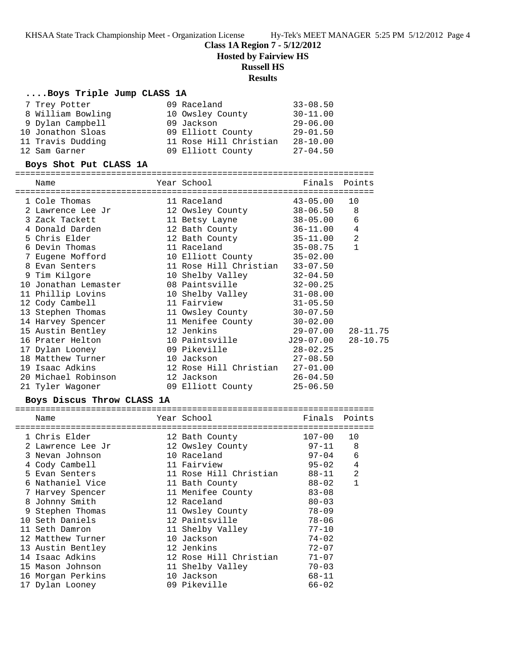**Class 1A Region 7 - 5/12/2012**

**Hosted by Fairview HS**

# **Russell HS**

## **Results**

### **....Boys Triple Jump CLASS 1A**

| 7 Trey Potter     | 09 Raceland            | $33 - 08.50$ |
|-------------------|------------------------|--------------|
| 8 William Bowling | 10 Owsley County       | $30 - 11.00$ |
| 9 Dylan Campbell  | 09 Jackson             | $29 - 06.00$ |
| 10 Jonathon Sloas | 09 Elliott County      | $29 - 01.50$ |
| 11 Travis Dudding | 11 Rose Hill Christian | $28 - 10.00$ |
| 12 Sam Garner     | 09 Elliott County      | $27 - 04.50$ |

#### **Boys Shot Put CLASS 1A**

| =======================                    |                                  |              |                |
|--------------------------------------------|----------------------------------|--------------|----------------|
| Name                                       | Year School<br>----------------- | Finals       | Points         |
| =========================<br>1 Cole Thomas | 11 Raceland                      | $43 - 05.00$ | 10             |
| 2 Lawrence Lee Jr                          | 12 Owsley County                 | $38 - 06.50$ | 8              |
| 3 Zack Tackett                             | 11 Betsy Layne                   | 38-05.00     | 6              |
| 4 Donald Darden                            | 12 Bath County                   | $36 - 11.00$ | $\overline{4}$ |
| 5 Chris Elder                              | 12 Bath County                   | 35-11.00     | $\overline{2}$ |
| 6 Devin Thomas                             | 11 Raceland                      | 35-08.75     | $\mathbf{1}$   |
| 7 Eugene Mofford                           | 10 Elliott County                | $35 - 02.00$ |                |
| 8 Evan Senters                             | 11 Rose Hill Christian           | $33 - 07.50$ |                |
| 9 Tim Kilgore                              | 10 Shelby Valley                 | $32 - 04.50$ |                |
| 10 Jonathan Lemaster                       | 08 Paintsville                   | $32 - 00.25$ |                |
| 11 Phillip Lovins                          | 10 Shelby Valley                 | $31 - 08.00$ |                |
| 12 Cody Cambell                            | 11 Fairview                      | $31 - 05.50$ |                |
| 13 Stephen Thomas                          | 11 Owsley County                 | $30 - 07.50$ |                |
| 14 Harvey Spencer                          | 11 Menifee County                | $30 - 02.00$ |                |
| 15 Austin Bentley                          | 12 Jenkins                       | 29-07.00     | 28-11.75       |
| 16 Prater Helton                           | 10 Paintsville 529-07.00         |              | $28 - 10.75$   |
| 17 Dylan Looney                            | 09 Pikeville                     | $28 - 02.25$ |                |
| 18 Matthew Turner                          | 10 Jackson                       | $27 - 08.50$ |                |
| 19 Isaac Adkins                            | 12 Rose Hill Christian           | $27 - 01.00$ |                |
| 20 Michael Robinson                        | 12 Jackson                       | $26 - 04.50$ |                |
| 21 Tyler Wagoner                           | 09 Elliott County                | $25 - 06.50$ |                |

# **Boys Discus Throw CLASS 1A**

| Name              | Year School            | Finals     | Points       |
|-------------------|------------------------|------------|--------------|
| 1 Chris Elder     | 12 Bath County         | $107 - 00$ | 10           |
| 2 Lawrence Lee Jr | 12 Owsley County       | 97-11      | 8            |
| 3 Nevan Johnson   | 10 Raceland            | $97 - 04$  | 6            |
| 4 Cody Cambell    | 11 Fairview            | $95 - 02$  | 4            |
| 5 Evan Senters    | 11 Rose Hill Christian | 88-11      | 2            |
| 6 Nathaniel Vice  | 11 Bath County         | $88 - 02$  | $\mathbf{1}$ |
| 7 Harvey Spencer  | 11 Menifee County      | $83 - 08$  |              |
| 8 Johnny Smith    | 12 Raceland            | $80 - 03$  |              |
| 9 Stephen Thomas  | 11 Owsley County       | $78 - 09$  |              |
| 10 Seth Daniels   | 12 Paintsville         | $78 - 06$  |              |
| 11 Seth Damron    | 11 Shelby Valley       | $77 - 10$  |              |
| 12 Matthew Turner | 10 Jackson             | $74 - 02$  |              |
| 13 Austin Bentley | 12 Jenkins             | $72 - 07$  |              |
| 14 Isaac Adkins   | 12 Rose Hill Christian | $71 - 07$  |              |
| 15 Mason Johnson  | 11 Shelby Valley       | $70 - 03$  |              |
| 16 Morgan Perkins | 10 Jackson             | $68 - 11$  |              |
| 17 Dylan Looney   | 09 Pikeville           | $66 - 02$  |              |